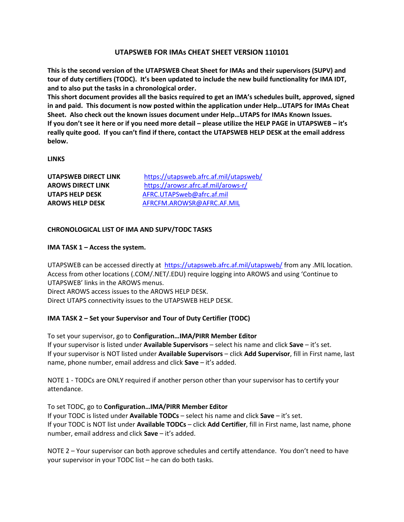### **UTAPSWEB FOR IMAs CHEAT SHEET VERSION 110101**

**This is the second version of the UTAPSWEB Cheat Sheet for IMAs and their supervisors (SUPV) and tour of duty certifiers (TODC). It's been updated to include the new build functionality for IMA IDT, and to also put the tasks in a chronological order.**

**This short document provides all the basics required to get an IMA's schedules built, approved, signed in and paid. This document is now posted within the application under Help…UTAPS for IMAs Cheat Sheet. Also check out the known issues document under Help…UTAPS for IMAs Known Issues. If you don't see it here or if you need more detail – please utilize the HELP PAGE in UTAPSWEB – it's really quite good. If you can't find if there, contact the UTAPSWEB HELP DESK at the email address below.**

**LINKS**

| UTAPSWEB DIRECT LINK     | https://utapsweb.afrc.af.mil/utapsweb/ |
|--------------------------|----------------------------------------|
| <b>AROWS DIRECT LINK</b> | https://arowsr.afrc.af.mil/arows-r/    |
| UTAPS HELP DESK          | AFRC.UTAPSweb@afrc.af.mil              |
| <b>AROWS HELP DESK</b>   | AFRCFM.AROWSR@AFRC.AF.MIL              |

### **CHRONOLOGICAL LIST OF IMA AND SUPV/TODC TASKS**

### **IMA TASK 1 – Access the system.**

UTAPSWEB can be accessed directly at <https://utapsweb.afrc.af.mil/utapsweb/> from any .MIL location. Access from other locations (.COM/.NET/.EDU) require logging into AROWS and using 'Continue to UTAPSWEB' links in the AROWS menus. Direct AROWS access issues to the AROWS HELP DESK. Direct UTAPS connectivity issues to the UTAPSWEB HELP DESK.

### **IMA TASK 2 – Set your Supervisor and Tour of Duty Certifier (TODC)**

To set your supervisor, go to **Configuration…IMA/PIRR Member Editor** If your supervisor is listed under **Available Supervisors** – select his name and click **Save** – it's set. If your supervisor is NOT listed under **Available Supervisors** – click **Add Supervisor**, fill in First name, last name, phone number, email address and click **Save** – it's added.

NOTE 1 - TODCs are ONLY required if another person other than your supervisor has to certify your attendance.

### To set TODC, go to **Configuration…IMA/PIRR Member Editor**

If your TODC is listed under **Available TODCs** – select his name and click **Save** – it's set. If your TODC is NOT list under **Available TODCs** – click **Add Certifier**, fill in First name, last name, phone number, email address and click **Save** – it's added.

NOTE 2 – Your supervisor can both approve schedules and certify attendance. You don't need to have your supervisor in your TODC list – he can do both tasks.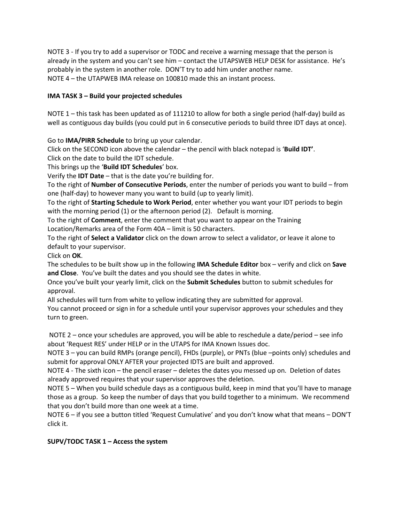NOTE 3 - If you try to add a supervisor or TODC and receive a warning message that the person is already in the system and you can't see him – contact the UTAPSWEB HELP DESK for assistance. He's probably in the system in another role. DON'T try to add him under another name. NOTE 4 – the UTAPWEB IMA release on 100810 made this an instant process.

# **IMA TASK 3 – Build your projected schedules**

NOTE 1 – this task has been updated as of 111210 to allow for both a single period (half-day) build as well as contiguous day builds (you could put in 6 consecutive periods to build three IDT days at once).

Go to **IMA/PIRR Schedule** to bring up your calendar.

Click on the SECOND icon above the calendar – the pencil with black notepad is '**Build IDT'**. Click on the date to build the IDT schedule.

This brings up the '**Build IDT Schedules**' box.

Verify the **IDT Date** – that is the date you're building for.

To the right of **Number of Consecutive Periods**, enter the number of periods you want to build – from one (half-day) to however many you want to build (up to yearly limit).

To the right of **Starting Schedule to Work Period**, enter whether you want your IDT periods to begin with the morning period (1) or the afternoon period (2). Default is morning.

To the right of **Comment**, enter the comment that you want to appear on the Training Location/Remarks area of the Form 40A – limit is 50 characters.

To the right of **Select a Validator** click on the down arrow to select a validator, or leave it alone to default to your supervisor.

Click on **OK**.

The schedules to be built show up in the following **IMA Schedule Editor** box – verify and click on **Save and Close**. You've built the dates and you should see the dates in white.

Once you've built your yearly limit, click on the **Submit Schedules** button to submit schedules for approval.

All schedules will turn from white to yellow indicating they are submitted for approval.

You cannot proceed or sign in for a schedule until your supervisor approves your schedules and they turn to green.

NOTE 2 – once your schedules are approved, you will be able to reschedule a date/period – see info about 'Request RES' under HELP or in the UTAPS for IMA Known Issues doc.

NOTE 3 – you can build RMPs (orange pencil), FHDs (purple), or PNTs (blue –points only) schedules and submit for approval ONLY AFTER your projected IDTS are built and approved.

NOTE 4 - The sixth icon – the pencil eraser – deletes the dates you messed up on. Deletion of dates already approved requires that your supervisor approves the deletion.

NOTE 5 – When you build schedule days as a contiguous build, keep in mind that you'll have to manage those as a group. So keep the number of days that you build together to a minimum. We recommend that you don't build more than one week at a time.

NOTE 6 – if you see a button titled 'Request Cumulative' and you don't know what that means – DON'T click it.

# **SUPV/TODC TASK 1 – Access the system**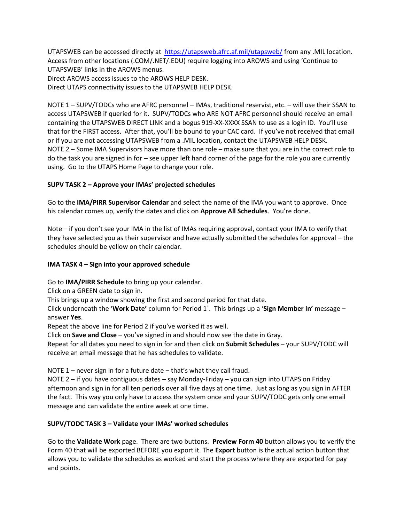UTAPSWEB can be accessed directly at <https://utapsweb.afrc.af.mil/utapsweb/> from any .MIL location. Access from other locations (.COM/.NET/.EDU) require logging into AROWS and using 'Continue to UTAPSWEB' links in the AROWS menus. Direct AROWS access issues to the AROWS HELP DESK.

Direct UTAPS connectivity issues to the UTAPSWEB HELP DESK.

NOTE 1 – SUPV/TODCs who are AFRC personnel – IMAs, traditional reservist, etc. – will use their SSAN to access UTAPSWEB if queried for it. SUPV/TODCs who ARE NOT AFRC personnel should receive an email containing the UTAPSWEB DIRECT LINK and a bogus 919-XX-XXXX SSAN to use as a login ID. You'll use that for the FIRST access. After that, you'll be bound to your CAC card. If you've not received that email or if you are not accessing UTAPSWEB from a .MIL location, contact the UTAPSWEB HELP DESK. NOTE 2 – Some IMA Supervisors have more than one role – make sure that you are in the correct role to do the task you are signed in for – see upper left hand corner of the page for the role you are currently using. Go to the UTAPS Home Page to change your role.

# **SUPV TASK 2 – Approve your IMAs' projected schedules**

Go to the **IMA/PIRR Supervisor Calendar** and select the name of the IMA you want to approve. Once his calendar comes up, verify the dates and click on **Approve All Schedules**. You're done.

Note – if you don't see your IMA in the list of IMAs requiring approval, contact your IMA to verify that they have selected you as their supervisor and have actually submitted the schedules for approval – the schedules should be yellow on their calendar.

### **IMA TASK 4 – Sign into your approved schedule**

Go to **IMA/PIRR Schedule** to bring up your calendar.

Click on a GREEN date to sign in.

This brings up a window showing the first and second period for that date.

Click underneath the '**Work Date'** column for Period 1`. This brings up a '**Sign Member In'** message – answer **Yes**.

Repeat the above line for Period 2 if you've worked it as well.

Click on **Save and Close** – you've signed in and should now see the date in Gray.

Repeat for all dates you need to sign in for and then click on **Submit Schedules** – your SUPV/TODC will receive an email message that he has schedules to validate.

NOTE 1 – never sign in for a future date – that's what they call fraud.

NOTE 2 – if you have contiguous dates – say Monday-Friday – you can sign into UTAPS on Friday afternoon and sign in for all ten periods over all five days at one time. Just as long as you sign in AFTER the fact. This way you only have to access the system once and your SUPV/TODC gets only one email message and can validate the entire week at one time.

### **SUPV/TODC TASK 3 – Validate your IMAs' worked schedules**

Go to the **Validate Work** page. There are two buttons. **Preview Form 40** button allows you to verify the Form 40 that will be exported BEFORE you export it. The **Export** button is the actual action button that allows you to validate the schedules as worked and start the process where they are exported for pay and points.